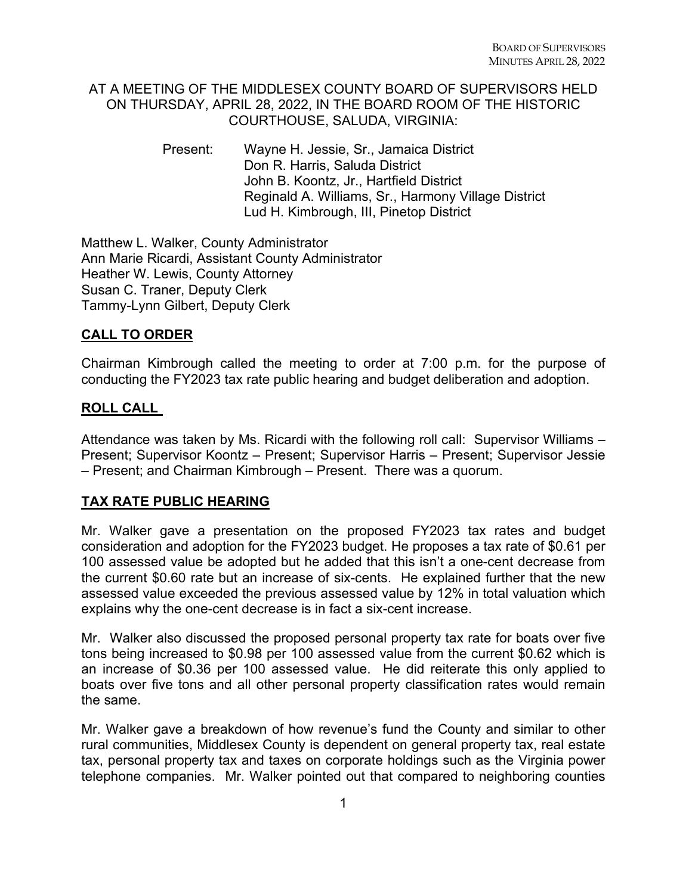## AT A MEETING OF THE MIDDLESEX COUNTY BOARD OF SUPERVISORS HELD ON THURSDAY, APRIL 28, 2022, IN THE BOARD ROOM OF THE HISTORIC COURTHOUSE, SALUDA, VIRGINIA:

Present: Wayne H. Jessie, Sr., Jamaica District Don R. Harris, Saluda District John B. Koontz, Jr., Hartfield District Reginald A. Williams, Sr., Harmony Village District Lud H. Kimbrough, III, Pinetop District

Matthew L. Walker, County Administrator Ann Marie Ricardi, Assistant County Administrator Heather W. Lewis, County Attorney Susan C. Traner, Deputy Clerk Tammy-Lynn Gilbert, Deputy Clerk

# **CALL TO ORDER**

Chairman Kimbrough called the meeting to order at 7:00 p.m. for the purpose of conducting the FY2023 tax rate public hearing and budget deliberation and adoption.

## **ROLL CALL**

Attendance was taken by Ms. Ricardi with the following roll call: Supervisor Williams – Present; Supervisor Koontz – Present; Supervisor Harris – Present; Supervisor Jessie – Present; and Chairman Kimbrough – Present. There was a quorum.

## **TAX RATE PUBLIC HEARING**

Mr. Walker gave a presentation on the proposed FY2023 tax rates and budget consideration and adoption for the FY2023 budget. He proposes a tax rate of \$0.61 per 100 assessed value be adopted but he added that this isn't a one-cent decrease from the current \$0.60 rate but an increase of six-cents. He explained further that the new assessed value exceeded the previous assessed value by 12% in total valuation which explains why the one-cent decrease is in fact a six-cent increase.

Mr. Walker also discussed the proposed personal property tax rate for boats over five tons being increased to \$0.98 per 100 assessed value from the current \$0.62 which is an increase of \$0.36 per 100 assessed value. He did reiterate this only applied to boats over five tons and all other personal property classification rates would remain the same.

Mr. Walker gave a breakdown of how revenue's fund the County and similar to other rural communities, Middlesex County is dependent on general property tax, real estate tax, personal property tax and taxes on corporate holdings such as the Virginia power telephone companies. Mr. Walker pointed out that compared to neighboring counties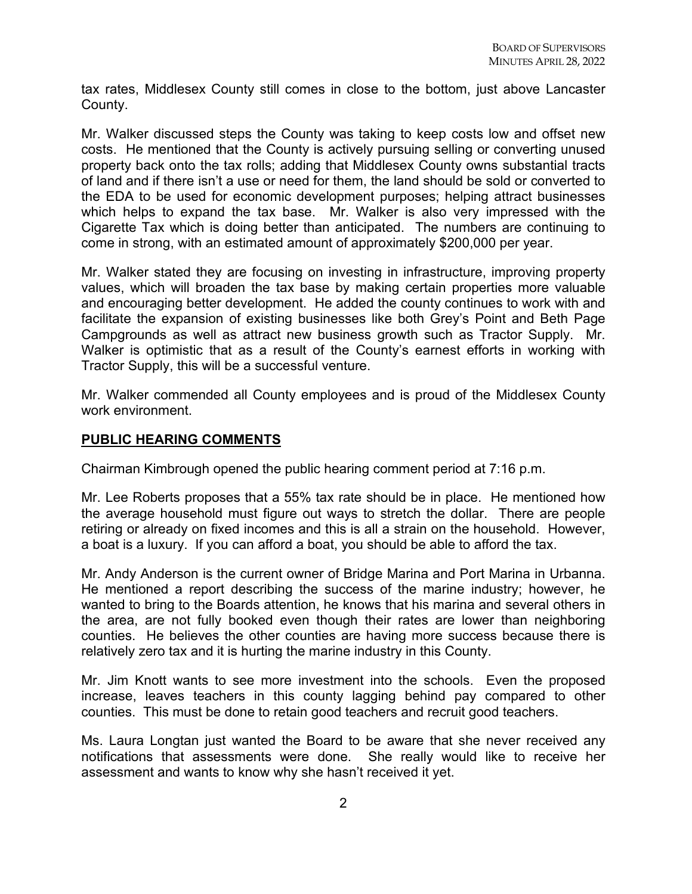tax rates, Middlesex County still comes in close to the bottom, just above Lancaster County.

Mr. Walker discussed steps the County was taking to keep costs low and offset new costs. He mentioned that the County is actively pursuing selling or converting unused property back onto the tax rolls; adding that Middlesex County owns substantial tracts of land and if there isn't a use or need for them, the land should be sold or converted to the EDA to be used for economic development purposes; helping attract businesses which helps to expand the tax base. Mr. Walker is also very impressed with the Cigarette Tax which is doing better than anticipated. The numbers are continuing to come in strong, with an estimated amount of approximately \$200,000 per year.

Mr. Walker stated they are focusing on investing in infrastructure, improving property values, which will broaden the tax base by making certain properties more valuable and encouraging better development. He added the county continues to work with and facilitate the expansion of existing businesses like both Grey's Point and Beth Page Campgrounds as well as attract new business growth such as Tractor Supply. Mr. Walker is optimistic that as a result of the County's earnest efforts in working with Tractor Supply, this will be a successful venture.

Mr. Walker commended all County employees and is proud of the Middlesex County work environment.

#### **PUBLIC HEARING COMMENTS**

Chairman Kimbrough opened the public hearing comment period at 7:16 p.m.

Mr. Lee Roberts proposes that a 55% tax rate should be in place. He mentioned how the average household must figure out ways to stretch the dollar. There are people retiring or already on fixed incomes and this is all a strain on the household. However, a boat is a luxury. If you can afford a boat, you should be able to afford the tax.

Mr. Andy Anderson is the current owner of Bridge Marina and Port Marina in Urbanna. He mentioned a report describing the success of the marine industry; however, he wanted to bring to the Boards attention, he knows that his marina and several others in the area, are not fully booked even though their rates are lower than neighboring counties. He believes the other counties are having more success because there is relatively zero tax and it is hurting the marine industry in this County.

Mr. Jim Knott wants to see more investment into the schools. Even the proposed increase, leaves teachers in this county lagging behind pay compared to other counties. This must be done to retain good teachers and recruit good teachers.

Ms. Laura Longtan just wanted the Board to be aware that she never received any notifications that assessments were done. She really would like to receive her assessment and wants to know why she hasn't received it yet.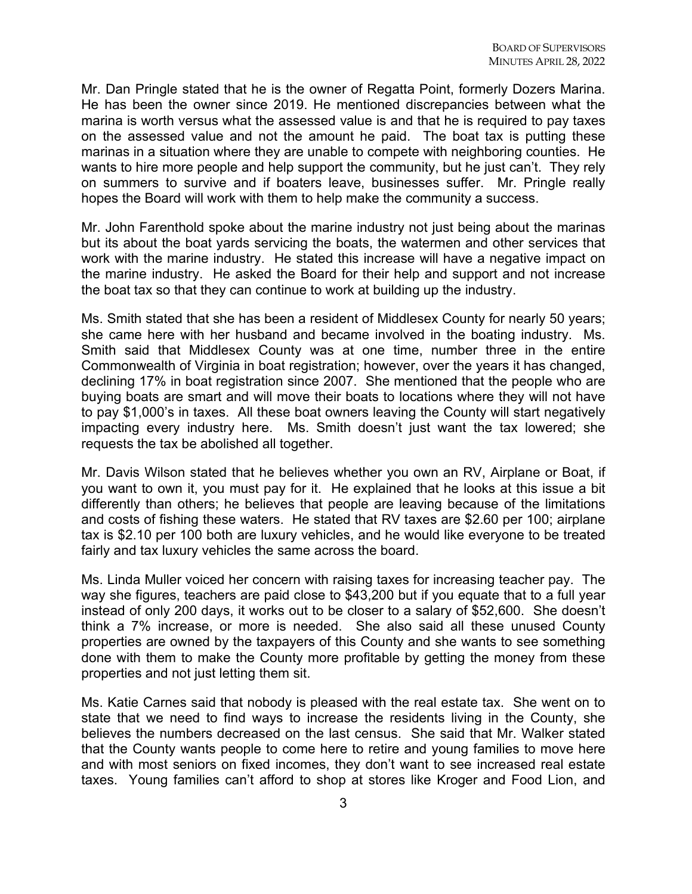Mr. Dan Pringle stated that he is the owner of Regatta Point, formerly Dozers Marina. He has been the owner since 2019. He mentioned discrepancies between what the marina is worth versus what the assessed value is and that he is required to pay taxes on the assessed value and not the amount he paid. The boat tax is putting these marinas in a situation where they are unable to compete with neighboring counties. He wants to hire more people and help support the community, but he just can't. They rely on summers to survive and if boaters leave, businesses suffer. Mr. Pringle really hopes the Board will work with them to help make the community a success.

Mr. John Farenthold spoke about the marine industry not just being about the marinas but its about the boat yards servicing the boats, the watermen and other services that work with the marine industry. He stated this increase will have a negative impact on the marine industry. He asked the Board for their help and support and not increase the boat tax so that they can continue to work at building up the industry.

Ms. Smith stated that she has been a resident of Middlesex County for nearly 50 years; she came here with her husband and became involved in the boating industry. Ms. Smith said that Middlesex County was at one time, number three in the entire Commonwealth of Virginia in boat registration; however, over the years it has changed, declining 17% in boat registration since 2007. She mentioned that the people who are buying boats are smart and will move their boats to locations where they will not have to pay \$1,000's in taxes. All these boat owners leaving the County will start negatively impacting every industry here. Ms. Smith doesn't just want the tax lowered; she requests the tax be abolished all together.

Mr. Davis Wilson stated that he believes whether you own an RV, Airplane or Boat, if you want to own it, you must pay for it. He explained that he looks at this issue a bit differently than others; he believes that people are leaving because of the limitations and costs of fishing these waters. He stated that RV taxes are \$2.60 per 100; airplane tax is \$2.10 per 100 both are luxury vehicles, and he would like everyone to be treated fairly and tax luxury vehicles the same across the board.

Ms. Linda Muller voiced her concern with raising taxes for increasing teacher pay. The way she figures, teachers are paid close to \$43,200 but if you equate that to a full year instead of only 200 days, it works out to be closer to a salary of \$52,600. She doesn't think a 7% increase, or more is needed. She also said all these unused County properties are owned by the taxpayers of this County and she wants to see something done with them to make the County more profitable by getting the money from these properties and not just letting them sit.

Ms. Katie Carnes said that nobody is pleased with the real estate tax. She went on to state that we need to find ways to increase the residents living in the County, she believes the numbers decreased on the last census. She said that Mr. Walker stated that the County wants people to come here to retire and young families to move here and with most seniors on fixed incomes, they don't want to see increased real estate taxes. Young families can't afford to shop at stores like Kroger and Food Lion, and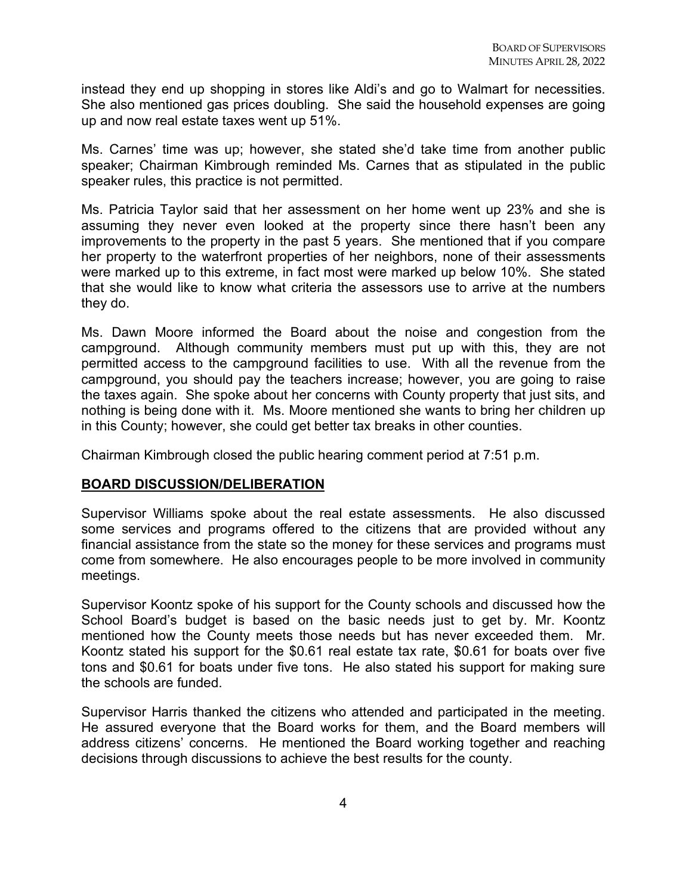instead they end up shopping in stores like Aldi's and go to Walmart for necessities. She also mentioned gas prices doubling. She said the household expenses are going up and now real estate taxes went up 51%.

Ms. Carnes' time was up; however, she stated she'd take time from another public speaker; Chairman Kimbrough reminded Ms. Carnes that as stipulated in the public speaker rules, this practice is not permitted.

Ms. Patricia Taylor said that her assessment on her home went up 23% and she is assuming they never even looked at the property since there hasn't been any improvements to the property in the past 5 years. She mentioned that if you compare her property to the waterfront properties of her neighbors, none of their assessments were marked up to this extreme, in fact most were marked up below 10%. She stated that she would like to know what criteria the assessors use to arrive at the numbers they do.

Ms. Dawn Moore informed the Board about the noise and congestion from the campground. Although community members must put up with this, they are not permitted access to the campground facilities to use. With all the revenue from the campground, you should pay the teachers increase; however, you are going to raise the taxes again. She spoke about her concerns with County property that just sits, and nothing is being done with it. Ms. Moore mentioned she wants to bring her children up in this County; however, she could get better tax breaks in other counties.

Chairman Kimbrough closed the public hearing comment period at 7:51 p.m.

### **BOARD DISCUSSION/DELIBERATION**

Supervisor Williams spoke about the real estate assessments. He also discussed some services and programs offered to the citizens that are provided without any financial assistance from the state so the money for these services and programs must come from somewhere. He also encourages people to be more involved in community meetings.

Supervisor Koontz spoke of his support for the County schools and discussed how the School Board's budget is based on the basic needs just to get by. Mr. Koontz mentioned how the County meets those needs but has never exceeded them. Mr. Koontz stated his support for the \$0.61 real estate tax rate, \$0.61 for boats over five tons and \$0.61 for boats under five tons. He also stated his support for making sure the schools are funded.

Supervisor Harris thanked the citizens who attended and participated in the meeting. He assured everyone that the Board works for them, and the Board members will address citizens' concerns. He mentioned the Board working together and reaching decisions through discussions to achieve the best results for the county.